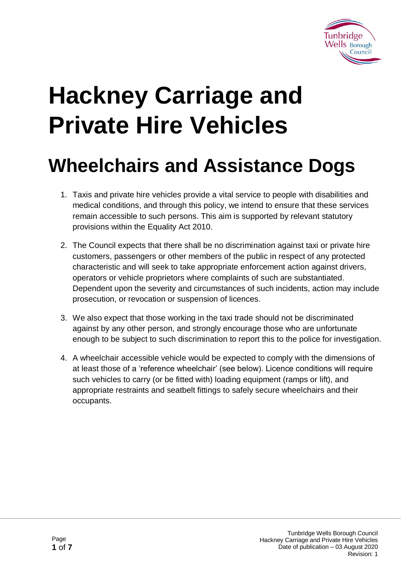

# **Hackney Carriage and Private Hire Vehicles**

# **Wheelchairs and Assistance Dogs**

- 1. Taxis and private hire vehicles provide a vital service to people with disabilities and medical conditions, and through this policy, we intend to ensure that these services remain accessible to such persons. This aim is supported by relevant statutory provisions within the Equality Act 2010.
- 2. The Council expects that there shall be no discrimination against taxi or private hire customers, passengers or other members of the public in respect of any protected characteristic and will seek to take appropriate enforcement action against drivers, operators or vehicle proprietors where complaints of such are substantiated. Dependent upon the severity and circumstances of such incidents, action may include prosecution, or revocation or suspension of licences.
- 3. We also expect that those working in the taxi trade should not be discriminated against by any other person, and strongly encourage those who are unfortunate enough to be subject to such discrimination to report this to the police for investigation.
- 4. A wheelchair accessible vehicle would be expected to comply with the dimensions of at least those of a 'reference wheelchair' (see below). Licence conditions will require such vehicles to carry (or be fitted with) loading equipment (ramps or lift), and appropriate restraints and seatbelt fittings to safely secure wheelchairs and their occupants.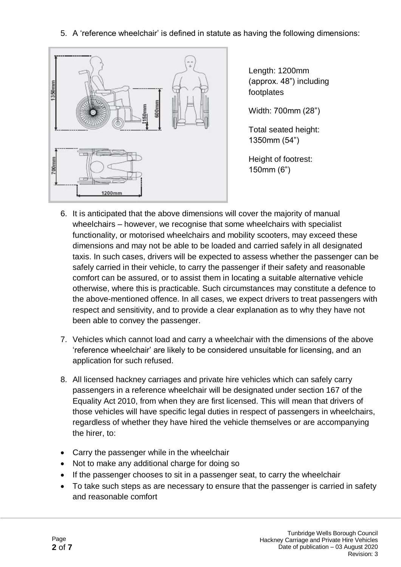5. A 'reference wheelchair' is defined in statute as having the following dimensions:



Length: 1200mm (approx. 48") including footplates

Width: 700mm (28")

Total seated height: 1350mm (54")

Height of footrest: 150mm (6")

- 6. It is anticipated that the above dimensions will cover the majority of manual wheelchairs – however, we recognise that some wheelchairs with specialist functionality, or motorised wheelchairs and mobility scooters, may exceed these dimensions and may not be able to be loaded and carried safely in all designated taxis. In such cases, drivers will be expected to assess whether the passenger can be safely carried in their vehicle, to carry the passenger if their safety and reasonable comfort can be assured, or to assist them in locating a suitable alternative vehicle otherwise, where this is practicable. Such circumstances may constitute a defence to the above-mentioned offence. In all cases, we expect drivers to treat passengers with respect and sensitivity, and to provide a clear explanation as to why they have not been able to convey the passenger.
- 7. Vehicles which cannot load and carry a wheelchair with the dimensions of the above 'reference wheelchair' are likely to be considered unsuitable for licensing, and an application for such refused.
- 8. All licensed hackney carriages and private hire vehicles which can safely carry passengers in a reference wheelchair will be designated under section 167 of the Equality Act 2010, from when they are first licensed. This will mean that drivers of those vehicles will have specific legal duties in respect of passengers in wheelchairs, regardless of whether they have hired the vehicle themselves or are accompanying the hirer, to:
- Carry the passenger while in the wheelchair
- Not to make any additional charge for doing so
- If the passenger chooses to sit in a passenger seat, to carry the wheelchair
- To take such steps as are necessary to ensure that the passenger is carried in safety and reasonable comfort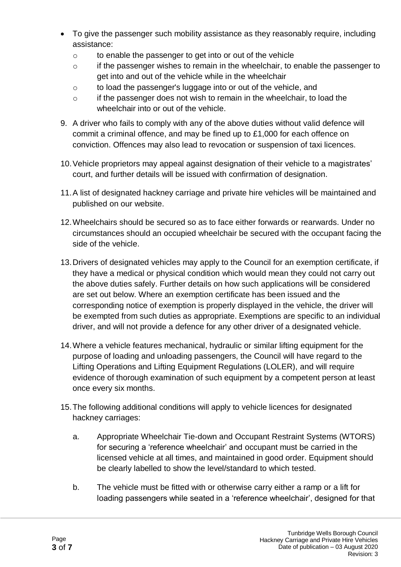- To give the passenger such mobility assistance as they reasonably require, including assistance:
	- o to enable the passenger to get into or out of the vehicle
	- $\circ$  if the passenger wishes to remain in the wheelchair, to enable the passenger to get into and out of the vehicle while in the wheelchair
	- o to load the passenger's luggage into or out of the vehicle, and
	- $\circ$  if the passenger does not wish to remain in the wheelchair, to load the wheelchair into or out of the vehicle.
- 9. A driver who fails to comply with any of the above duties without valid defence will commit a criminal offence, and may be fined up to £1,000 for each offence on conviction. Offences may also lead to revocation or suspension of taxi licences.
- 10.Vehicle proprietors may appeal against designation of their vehicle to a magistrates' court, and further details will be issued with confirmation of designation.
- 11.A list of designated hackney carriage and private hire vehicles will be maintained and published on our website.
- 12.Wheelchairs should be secured so as to face either forwards or rearwards. Under no circumstances should an occupied wheelchair be secured with the occupant facing the side of the vehicle.
- 13.Drivers of designated vehicles may apply to the Council for an exemption certificate, if they have a medical or physical condition which would mean they could not carry out the above duties safely. Further details on how such applications will be considered are set out below. Where an exemption certificate has been issued and the corresponding notice of exemption is properly displayed in the vehicle, the driver will be exempted from such duties as appropriate. Exemptions are specific to an individual driver, and will not provide a defence for any other driver of a designated vehicle.
- 14.Where a vehicle features mechanical, hydraulic or similar lifting equipment for the purpose of loading and unloading passengers, the Council will have regard to the Lifting Operations and Lifting Equipment Regulations (LOLER), and will require evidence of thorough examination of such equipment by a competent person at least once every six months.
- 15.The following additional conditions will apply to vehicle licences for designated hackney carriages:
	- a. Appropriate Wheelchair Tie-down and Occupant Restraint Systems (WTORS) for securing a 'reference wheelchair' and occupant must be carried in the licensed vehicle at all times, and maintained in good order. Equipment should be clearly labelled to show the level/standard to which tested.
	- b. The vehicle must be fitted with or otherwise carry either a ramp or a lift for loading passengers while seated in a 'reference wheelchair', designed for that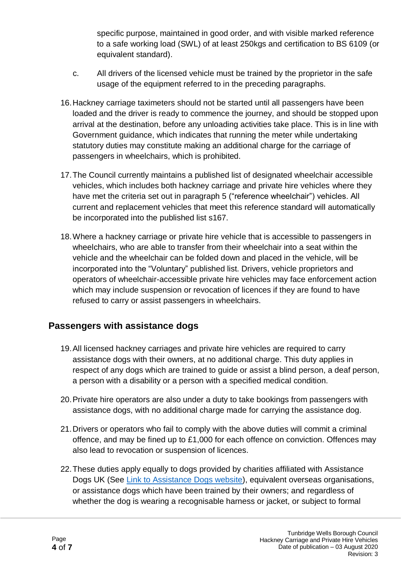specific purpose, maintained in good order, and with visible marked reference to a safe working load (SWL) of at least 250kgs and certification to BS 6109 (or equivalent standard).

- c. All drivers of the licensed vehicle must be trained by the proprietor in the safe usage of the equipment referred to in the preceding paragraphs.
- 16.Hackney carriage taximeters should not be started until all passengers have been loaded and the driver is ready to commence the journey, and should be stopped upon arrival at the destination, before any unloading activities take place. This is in line with Government guidance, which indicates that running the meter while undertaking statutory duties may constitute making an additional charge for the carriage of passengers in wheelchairs, which is prohibited.
- 17.The Council currently maintains a published list of designated wheelchair accessible vehicles, which includes both hackney carriage and private hire vehicles where they have met the criteria set out in paragraph 5 ("reference wheelchair") vehicles. All current and replacement vehicles that meet this reference standard will automatically be incorporated into the published list s167.
- 18.Where a hackney carriage or private hire vehicle that is accessible to passengers in wheelchairs, who are able to transfer from their wheelchair into a seat within the vehicle and the wheelchair can be folded down and placed in the vehicle, will be incorporated into the "Voluntary" published list. Drivers, vehicle proprietors and operators of wheelchair-accessible private hire vehicles may face enforcement action which may include suspension or revocation of licences if they are found to have refused to carry or assist passengers in wheelchairs.

#### **Passengers with assistance dogs**

- 19.All licensed hackney carriages and private hire vehicles are required to carry assistance dogs with their owners, at no additional charge. This duty applies in respect of any dogs which are trained to guide or assist a blind person, a deaf person, a person with a disability or a person with a specified medical condition.
- 20.Private hire operators are also under a duty to take bookings from passengers with assistance dogs, with no additional charge made for carrying the assistance dog.
- 21.Drivers or operators who fail to comply with the above duties will commit a criminal offence, and may be fined up to £1,000 for each offence on conviction. Offences may also lead to revocation or suspension of licences.
- 22.These duties apply equally to dogs provided by charities affiliated with Assistance Dogs UK (See [Link to Assistance Dogs website\)](http://www.assistancedogs.org.uk/), equivalent overseas organisations, or assistance dogs which have been trained by their owners; and regardless of whether the dog is wearing a recognisable harness or jacket, or subject to formal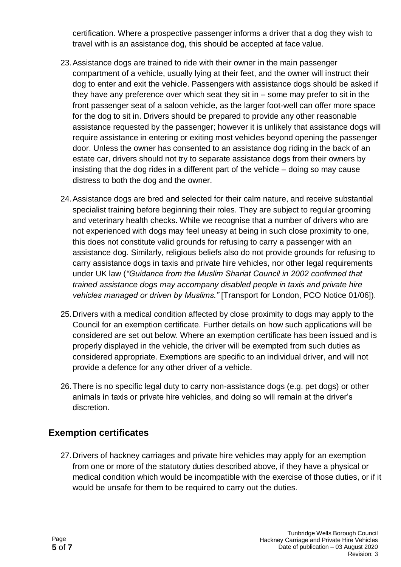certification. Where a prospective passenger informs a driver that a dog they wish to travel with is an assistance dog, this should be accepted at face value.

- 23.Assistance dogs are trained to ride with their owner in the main passenger compartment of a vehicle, usually lying at their feet, and the owner will instruct their dog to enter and exit the vehicle. Passengers with assistance dogs should be asked if they have any preference over which seat they sit in – some may prefer to sit in the front passenger seat of a saloon vehicle, as the larger foot-well can offer more space for the dog to sit in. Drivers should be prepared to provide any other reasonable assistance requested by the passenger; however it is unlikely that assistance dogs will require assistance in entering or exiting most vehicles beyond opening the passenger door. Unless the owner has consented to an assistance dog riding in the back of an estate car, drivers should not try to separate assistance dogs from their owners by insisting that the dog rides in a different part of the vehicle – doing so may cause distress to both the dog and the owner.
- 24.Assistance dogs are bred and selected for their calm nature, and receive substantial specialist training before beginning their roles. They are subject to regular grooming and veterinary health checks. While we recognise that a number of drivers who are not experienced with dogs may feel uneasy at being in such close proximity to one, this does not constitute valid grounds for refusing to carry a passenger with an assistance dog. Similarly, religious beliefs also do not provide grounds for refusing to carry assistance dogs in taxis and private hire vehicles, nor other legal requirements under UK law (*"Guidance from the Muslim Shariat Council in 2002 confirmed that trained assistance dogs may accompany disabled people in taxis and private hire vehicles managed or driven by Muslims."* [Transport for London, PCO Notice 01/06]).
- 25.Drivers with a medical condition affected by close proximity to dogs may apply to the Council for an exemption certificate. Further details on how such applications will be considered are set out below. Where an exemption certificate has been issued and is properly displayed in the vehicle, the driver will be exempted from such duties as considered appropriate. Exemptions are specific to an individual driver, and will not provide a defence for any other driver of a vehicle.
- 26.There is no specific legal duty to carry non-assistance dogs (e.g. pet dogs) or other animals in taxis or private hire vehicles, and doing so will remain at the driver's discretion.

## **Exemption certificates**

27.Drivers of hackney carriages and private hire vehicles may apply for an exemption from one or more of the statutory duties described above, if they have a physical or medical condition which would be incompatible with the exercise of those duties, or if it would be unsafe for them to be required to carry out the duties.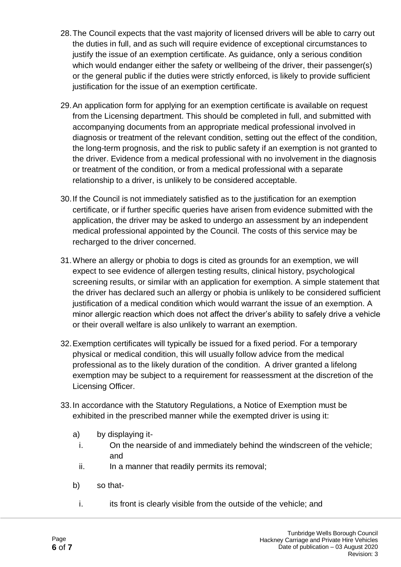- 28.The Council expects that the vast majority of licensed drivers will be able to carry out the duties in full, and as such will require evidence of exceptional circumstances to justify the issue of an exemption certificate. As guidance, only a serious condition which would endanger either the safety or wellbeing of the driver, their passenger(s) or the general public if the duties were strictly enforced, is likely to provide sufficient justification for the issue of an exemption certificate.
- 29.An application form for applying for an exemption certificate is available on request from the Licensing department. This should be completed in full, and submitted with accompanying documents from an appropriate medical professional involved in diagnosis or treatment of the relevant condition, setting out the effect of the condition, the long-term prognosis, and the risk to public safety if an exemption is not granted to the driver. Evidence from a medical professional with no involvement in the diagnosis or treatment of the condition, or from a medical professional with a separate relationship to a driver, is unlikely to be considered acceptable.
- 30.If the Council is not immediately satisfied as to the justification for an exemption certificate, or if further specific queries have arisen from evidence submitted with the application, the driver may be asked to undergo an assessment by an independent medical professional appointed by the Council. The costs of this service may be recharged to the driver concerned.
- 31.Where an allergy or phobia to dogs is cited as grounds for an exemption, we will expect to see evidence of allergen testing results, clinical history, psychological screening results, or similar with an application for exemption. A simple statement that the driver has declared such an allergy or phobia is unlikely to be considered sufficient justification of a medical condition which would warrant the issue of an exemption. A minor allergic reaction which does not affect the driver's ability to safely drive a vehicle or their overall welfare is also unlikely to warrant an exemption.
- 32.Exemption certificates will typically be issued for a fixed period. For a temporary physical or medical condition, this will usually follow advice from the medical professional as to the likely duration of the condition. A driver granted a lifelong exemption may be subject to a requirement for reassessment at the discretion of the Licensing Officer.
- 33.In accordance with the Statutory Regulations, a Notice of Exemption must be exhibited in the prescribed manner while the exempted driver is using it:
	- a) by displaying it
		- i. On the nearside of and immediately behind the windscreen of the vehicle; and
		- ii. In a manner that readily permits its removal;
	- b) so that
		- i. its front is clearly visible from the outside of the vehicle; and